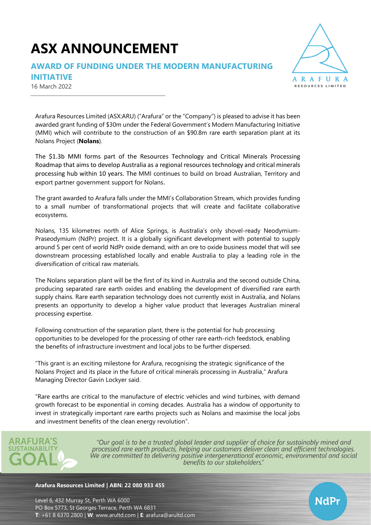# **ASX ANNOUNCEMENT**

## **AWARD OF FUNDING UNDER THE MODERN MANUFACTURING**



16 March 2022



Arafura Resources Limited (ASX:ARU) ("Arafura" or the "Company") is pleased to advise it has been awarded grant funding of \$30m under the Federal Government's Modern Manufacturing Initiative (MMI) which will contribute to the construction of an \$90.8m rare earth separation plant at its Nolans Project (**Nolans**).

The \$1.3b MMI forms part of the Resources Technology and Critical Minerals Processing Roadmap that aims to develop Australia as a regional resources technology and critical minerals processing hub within 10 years. The MMI continues to build on broad Australian, Territory and export partner government support for Nolans.

The grant awarded to Arafura falls under the MMI's Collaboration Stream, which provides funding to a small number of transformational projects that will create and facilitate collaborative ecosystems.

Nolans, 135 kilometres north of Alice Springs, is Australia's only shovel-ready Neodymium-Praseodymium (NdPr) project. It is a globally significant development with potential to supply around 5 per cent of world NdPr oxide demand, with an ore to oxide business model that will see downstream processing established locally and enable Australia to play a leading role in the diversification of critical raw materials.

The Nolans separation plant will be the first of its kind in Australia and the second outside China, producing separated rare earth oxides and enabling the development of diversified rare earth supply chains. Rare earth separation technology does not currently exist in Australia, and Nolans presents an opportunity to develop a higher value product that leverages Australian mineral processing expertise.

Following construction of the separation plant, there is the potential for hub processing opportunities to be developed for the processing of other rare earth-rich feedstock, enabling the benefits of infrastructure investment and local jobs to be further dispersed.

"This grant is an exciting milestone for Arafura, recognising the strategic significance of the Nolans Project and its place in the future of critical minerals processing in Australia," Arafura Managing Director Gavin Lockyer said.

"Rare earths are critical to the manufacture of electric vehicles and wind turbines, with demand growth forecast to be exponential in coming decades. Australia has a window of opportunity to invest in strategically important rare earths projects such as Nolans and maximise the local jobs and investment benefits of the clean energy revolution".



"Our goal is to be a trusted global leader and supplier of choice for sustainably mined and processed rare earth products, helping our customers deliver clean and efficient technologies. We are committed to delivering positive intergenerational economic, environmental and social benefits to our stakeholders."

#### **Arafura Resources Limited | ABN: 22 080 933 455**

Level 6, 432 Murray St, Perth WA 6000 PO Box 5773, St Georges Terrace, Perth WA 6831 **T**: +61 8 6370 2800 | **W**: [www.arultd.com](http://www.arultd.com/) | **E**: [arafura@arultd.com](mailto:arafura@arultd.com)